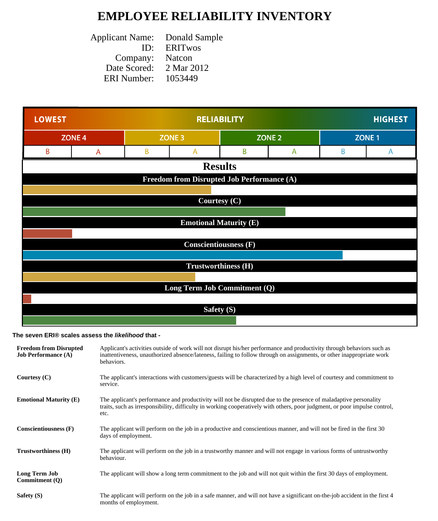## **EMPLOYEE RELIABILITY INVENTORY**

| <b>Applicant Name:</b> | Donald Sample  |
|------------------------|----------------|
| ID:                    | <b>ERITWOS</b> |
| Company:               | Natcon         |
| Date Scored:           | 2 Mar 2012     |
| <b>ERI</b> Number:     | 1053449        |
|                        |                |



## **The seven ERI® scales assess the likelihood that -**

| <b>Freedom from Disrupted</b><br><b>Job Performance (A)</b> | Applicant's activities outside of work will not disrupt his/her performance and productivity through behaviors such as<br>inattentiveness, unauthorized absence/lateness, failing to follow through on assignments, or other inappropriate work<br>behaviors. |
|-------------------------------------------------------------|---------------------------------------------------------------------------------------------------------------------------------------------------------------------------------------------------------------------------------------------------------------|
| Courtesy $(C)$                                              | The applicant's interactions with customers/guests will be characterized by a high level of courtesy and commitment to<br>service.                                                                                                                            |
| <b>Emotional Maturity (E)</b>                               | The applicant's performance and productivity will not be disrupted due to the presence of maladaptive personality<br>traits, such as irresponsibility, difficulty in working cooperatively with others, poor judgment, or poor impulse control,<br>etc.       |
| <b>Conscientiousness (F)</b>                                | The applicant will perform on the job in a productive and conscientious manner, and will not be fired in the first 30<br>days of employment.                                                                                                                  |
| Trustworthiness (H)                                         | The applicant will perform on the job in a trustworthy manner and will not engage in various forms of untrustworthy<br>behaviour.                                                                                                                             |
| Long Term Job<br>Commitment (O)                             | The applicant will show a long term commitment to the job and will not quit within the first 30 days of employment.                                                                                                                                           |
| Safety (S)                                                  | The applicant will perform on the job in a safe manner, and will not have a significant on-the-job accident in the first 4<br>months of employment.                                                                                                           |